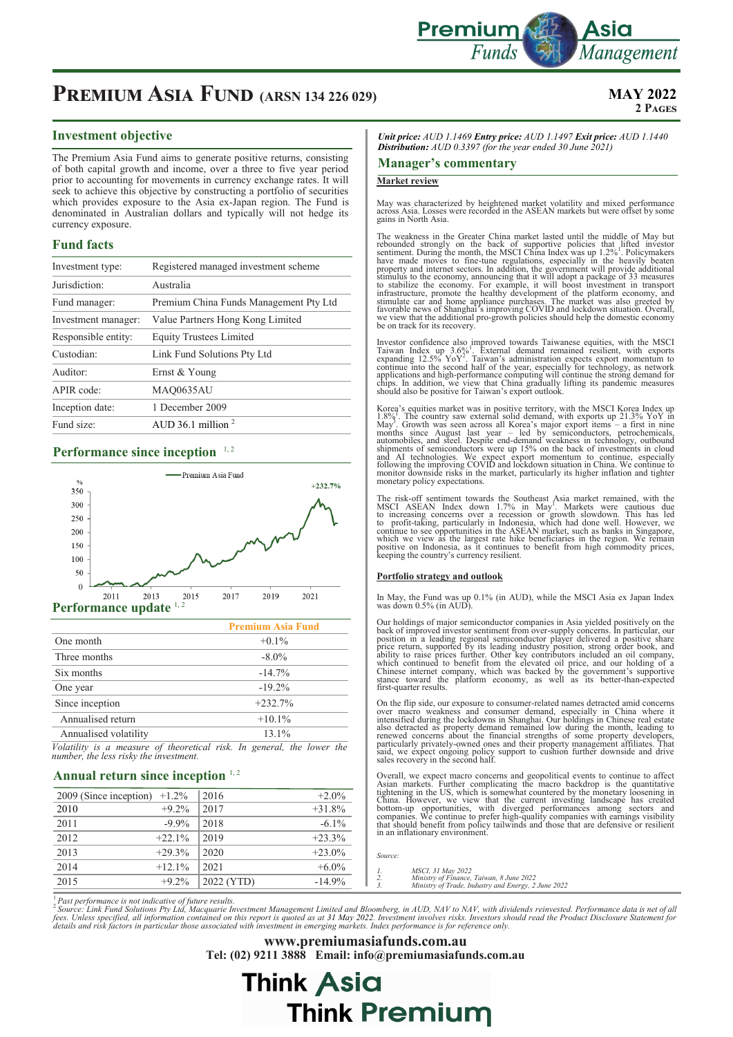

## **PREMIUM ASIA FUND** (ARSN 134 226 029) MAY 2022

## **2 Pages**

## **Investment objective**

The Premium Asia Fund aims to generate positive returns, consisting of both capital growth and income, over a three to five year period prior to accounting for movements in currency exchange rates. It will seek to achieve this objective by constructing a portfolio of securities which provides exposure to the Asia ex-Japan region. The Fund is denominated in Australian dollars and typically will not hedge its currency exposure.

### **Fund facts**

| Investment type:    | Registered managed investment scheme   |  |
|---------------------|----------------------------------------|--|
| Jurisdiction:       | Australia                              |  |
| Fund manager:       | Premium China Funds Management Pty Ltd |  |
| Investment manager: | Value Partners Hong Kong Limited       |  |
| Responsible entity: | <b>Equity Trustees Limited</b>         |  |
| Custodian:          | Link Fund Solutions Pty Ltd            |  |
| Auditor:            | Ernst & Young                          |  |
| APIR code:          | <b>MAQ0635AU</b>                       |  |
| Inception date:     | 1 December 2009                        |  |
| Fund size:          | AUD 36.1 million $2$                   |  |

## **Performance since inception** <sup>1,2</sup>



| <b>Premium Asia Fund</b> |
|--------------------------|
| $+0.1\%$                 |
| $-8.0\%$                 |
| $-14.7%$                 |
| $-19.2\%$                |
| $+232.7%$                |
| $+10.1\%$                |
| $13.1\%$                 |
|                          |

*Volatility is a measure of theoretical risk. In general, the lower the number, the less risky the investment.*

## Annual return since inception <sup>1,2</sup>

| 2009 (Since inception) | $+1.2\%$  | 2016       | $+2.0%$  |
|------------------------|-----------|------------|----------|
| 2010                   | $+9.2\%$  | 2017       | $+31.8%$ |
| 2011                   | $-9.9\%$  | 2018       | $-6.1\%$ |
| 2012                   | $+22.1\%$ | 2019       | $+23.3%$ |
| 2013                   | $+29.3%$  | 2020       | $+23.0%$ |
| 2014                   | $+12.1\%$ | 2021       | $+6.0\%$ |
| 2015                   | $+9.2%$   | 2022 (YTD) | $-14.9%$ |

*Unit price: AUD 1.1469 Entry price: AUD 1.1497 Exit price: AUD 1.1440 Distribution: AUD 0.3397 (for the year ended 30 June 2021)* 

#### **Manager's commentary**

#### **Market review**

May was characterized by heightened market volatility and mixed performance across Asia. Losses were recorded in the ASEAN markets but were offset by some gains in North Asia.

The weakness in the Greater China market lasted until the middle of May but<br>rebounded strongly on the back of supportive policies that lifted investor<br>sentiment. During the month, the MSCI China Index was up 1.2%<sup>1</sup>. Polic have made moves to fine-tune regulations, especially in the heavily beaten<br>property and internet sectors. In addition, the government will provide additional<br>stimulus to the economy, amouncing that it will adopt a package be on track for its recovery.

Investor confidence also improved towards Taiwanese equities, with the MSCI Taiwan Index up  $3.6\%$ <sup>1</sup>. Extremal demand remained resilient, with exports expanding  $12.5\%$  YoY<sup>2</sup>. Taiwan's administration expects export mo

Korea's equities market was in positive territory, with the MSCI Korea Index up 1.8% The country saw external solid demand, with exports up 21.3% YoY im May'. Growth was seen across all Korea's major export items  $-$  a fi

The risk-off sentiment towards the Southeast Asia market remained, with the MSCI ASEAN Index down 1.7% in May. Markets were cautious due to increasing concerns over a recession or growth slowdown. This has led to profit-ta

#### **Portfolio strategy and outlook**

In May, the Fund was up 0.1% (in AUD), while the MSCI Asia ex Japan Index was down 0.5% (in AUD).

Our holdings of major semiconductor companies in Asia yielded positively on the back of improved investor sentiment from over-supply concerns. In particular, our position in a leading regional semiconductor player delivere

On the flip side, our exposure to consumer-related names detracted amid concerns<br>over macro weakness and consumer demand, especially in China where it<br>intensified during the lockdowns in Shanghai. Our holdings in Chinese r

Overall, we expect macro concerns and geopolitical events to continue to affect<br>Asian markets. Further complicating the macro backdrop is the quantitative<br>dishening in the US, which is somewhat countered by the monetary lo

| Source: |                                                     |
|---------|-----------------------------------------------------|
| 1.      | <i>MSCI</i> . 31 May 2022                           |
| 2.      | Ministry of Finance, Taiwan, 8 June 2022            |
| 3.      | Ministry of Trade, Industry and Energy, 2 June 2022 |

<sup>1</sup> Past performance is not indicative of future results.<br><sup>2</sup> Source: Link Fund Solutions Pty Ltd, Macquarie Investment Management Limited and Bloomberg, in AUD, NAV to NAV, with dividends reinvested. Performance data is n

**www.premiumasiafunds.com.au Tel: (02) 9211 3888 Email: info@premiumasiafunds.com.au**

**Think Premium** 

**Think Asia**